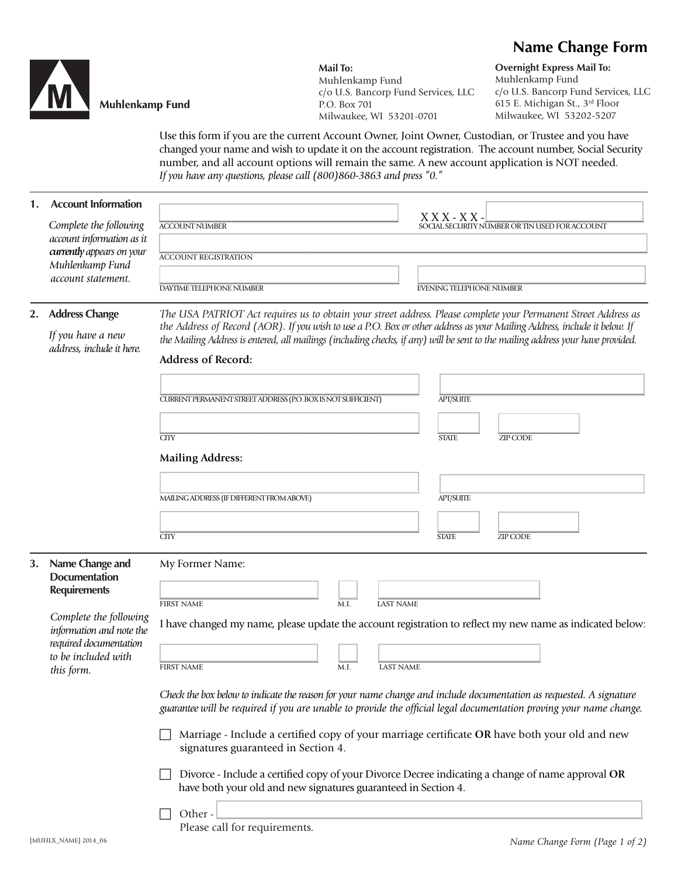# **Name Change Form**



## **Muhlenkamp Fund**

**Mail To:** Muhlenkamp Fund c/o U.S. Bancorp Fund Services, LLC P.O. Box 701 Milwaukee, WI 53201-0701

**Overnight Express Mail To:** Muhlenkamp Fund c/o U.S. Bancorp Fund Services, LLC 615 E. Michigan St., 3rd Floor Milwaukee, WI 53202-5207

Use this form if you are the current Account Owner, Joint Owner, Custodian, or Trustee and you have changed your name and wish to update it on the account registration. The account number, Social Security number, and all account options will remain the same. A new account application is NOT needed. *If you have any questions, please call (800)860-3863 and press "0."*

#### **1. Account Information**

 *Complete the following account information as it currently appears on your Muhlenkamp Fund account statement.* 

| <b>ACCOUNT REGISTRATION</b> |                                 |
|-----------------------------|---------------------------------|
|                             |                                 |
|                             |                                 |
| DAYTIME TELEPHONE NUMBER    | <b>EVENING TELEPHONE NUMBER</b> |
|                             | $\sim$ $\sim$<br>$\sim$<br>.    |

\_\_\_\_\_\_\_\_\_\_\_\_\_\_\_\_\_\_\_\_\_\_\_\_\_\_\_\_\_\_\_\_\_\_\_\_\_\_\_\_\_\_\_\_\_\_\_\_\_\_\_\_\_\_ X X X - X X -\_\_\_\_\_\_\_\_\_\_\_\_\_\_\_\_\_\_\_\_\_\_\_\_\_\_\_\_\_\_\_\_\_\_\_\_ ACCOUNT NUMBER SOCIAL SECURITY NUMBER OR TIN USED FOR ACCOUNT

#### **2. Address Change**

 *If you have a new address, include it here.* *The USA PATRIOT Act requires us to obtain your street address. Please complete your Permanent Street Address as the Address of Record (AOR). If you wish to use a P.O. Box or other address as your Mailing Address, include it below. If the Mailing Address is entered, all mailings (including checks, if any) will be sent to the mailing address your have provided.*

## **Address of Record:**

Please call for requirements.

|                                                                                                                                                                                           | CURRENT PERMANENT STREET ADDRESS (P.O. BOX IS NOT SUFFICIENT)<br>CTTY<br><b>Mailing Address:</b>                                                                                                                                                                                                                                                                                                                                                                                                                                                                                                                                                                                                                                                                                                                      | <b>APT/SUITE</b><br><b>ZIP CODE</b><br><b>STATE</b> |
|-------------------------------------------------------------------------------------------------------------------------------------------------------------------------------------------|-----------------------------------------------------------------------------------------------------------------------------------------------------------------------------------------------------------------------------------------------------------------------------------------------------------------------------------------------------------------------------------------------------------------------------------------------------------------------------------------------------------------------------------------------------------------------------------------------------------------------------------------------------------------------------------------------------------------------------------------------------------------------------------------------------------------------|-----------------------------------------------------|
|                                                                                                                                                                                           | MAILING ADDRESS (IF DIFFERENT FROM ABOVE)<br>CTTY                                                                                                                                                                                                                                                                                                                                                                                                                                                                                                                                                                                                                                                                                                                                                                     | <b>APT/SUITE</b><br>ZIP CODE<br><b>STATE</b>        |
| Name Change and<br>3.<br><b>Documentation</b><br><b>Requirements</b><br>Complete the following<br>information and note the<br>required documentation<br>to be included with<br>this form. | My Former Name:<br><b>FIRST NAME</b><br>$\overline{M.I.}$<br><b>LAST NAME</b><br>I have changed my name, please update the account registration to reflect my new name as indicated below:<br><b>FIRST NAME</b><br><b>LAST NAME</b><br>$\overline{M.I.}$<br>Check the box below to indicate the reason for your name change and include documentation as requested. A signature<br>guarantee will be required if you are unable to provide the official legal documentation proving your name change.<br>Marriage - Include a certified copy of your marriage certificate OR have both your old and new<br>signatures guaranteed in Section 4.<br>Divorce - Include a certified copy of your Divorce Decree indicating a change of name approval OR<br>have both your old and new signatures guaranteed in Section 4. |                                                     |

 $\Box$  Other -  $\Box$